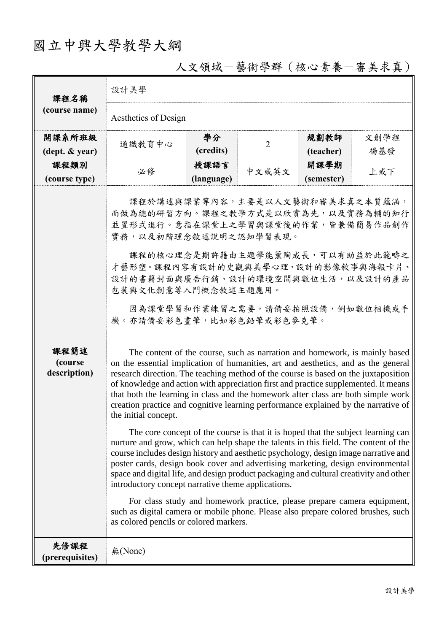## 國立中興大學教學大綱

| 課程名稱<br>(course name)           | 設計美學                                                                                                                                                                                                                                                                                                                                                                                                                                                                                                                                                                                                                                                                                                                                                                                                                                                                                                                                                                                                                                                                                                                                                                                                                                                                                                                                                                                                                                                                                                                                                                                                        |                    |                |                    |      |  |  |  |
|---------------------------------|-------------------------------------------------------------------------------------------------------------------------------------------------------------------------------------------------------------------------------------------------------------------------------------------------------------------------------------------------------------------------------------------------------------------------------------------------------------------------------------------------------------------------------------------------------------------------------------------------------------------------------------------------------------------------------------------------------------------------------------------------------------------------------------------------------------------------------------------------------------------------------------------------------------------------------------------------------------------------------------------------------------------------------------------------------------------------------------------------------------------------------------------------------------------------------------------------------------------------------------------------------------------------------------------------------------------------------------------------------------------------------------------------------------------------------------------------------------------------------------------------------------------------------------------------------------------------------------------------------------|--------------------|----------------|--------------------|------|--|--|--|
|                                 | Aesthetics of Design                                                                                                                                                                                                                                                                                                                                                                                                                                                                                                                                                                                                                                                                                                                                                                                                                                                                                                                                                                                                                                                                                                                                                                                                                                                                                                                                                                                                                                                                                                                                                                                        |                    |                |                    |      |  |  |  |
| 開課系所班級                          | 通識教育中心                                                                                                                                                                                                                                                                                                                                                                                                                                                                                                                                                                                                                                                                                                                                                                                                                                                                                                                                                                                                                                                                                                                                                                                                                                                                                                                                                                                                                                                                                                                                                                                                      | 學分<br>(credits)    | $\overline{2}$ | 規劃教師               | 文創學程 |  |  |  |
| (dept. & year)                  |                                                                                                                                                                                                                                                                                                                                                                                                                                                                                                                                                                                                                                                                                                                                                                                                                                                                                                                                                                                                                                                                                                                                                                                                                                                                                                                                                                                                                                                                                                                                                                                                             |                    |                | (teacher)          | 楊基發  |  |  |  |
| 課程類別<br>(course type)           | 必修                                                                                                                                                                                                                                                                                                                                                                                                                                                                                                                                                                                                                                                                                                                                                                                                                                                                                                                                                                                                                                                                                                                                                                                                                                                                                                                                                                                                                                                                                                                                                                                                          | 授課語言<br>(language) | 中文或英文          | 開課學期<br>(semester) | 上或下  |  |  |  |
| 課程簡述<br>(course<br>description) | 課程於講述與課業等內容,主要是以人文藝術和審美求真之本質蘊涵,<br>而做為總的研習方向。課程之教學方式是以欣賞為先,以及實務為輔的知行<br>並置形式進行。意指在課堂上之學習與課堂後的作業,皆兼備簡易作品創作<br>實務,以及初階理念敘述說明之認知學習表現。<br>課程的核心理念是期許藉由主題學能薰陶成長,可以有助益於此範疇之<br>才藝形塑。課程內容有設計的史觀與美學心理、設計的影像敘事與海報卡片、<br>設計的書籍封面與廣告行銷、設計的環境空間與數位生活,以及設計的產品<br>包裝與文化創意等入門概念敘述主題應用。<br>因為課堂學習和作業練習之需要,請備妥拍照設備,例如數位相機或手<br>機。亦請備妥彩色畫筆,比如彩色鉛筆或彩色麥克筆。<br>The content of the course, such as narration and homework, is mainly based<br>on the essential implication of humanities, art and aesthetics, and as the general<br>research direction. The teaching method of the course is based on the juxtaposition<br>of knowledge and action with appreciation first and practice supplemented. It means<br>that both the learning in class and the homework after class are both simple work<br>creation practice and cognitive learning performance explained by the narrative of<br>the initial concept.<br>The core concept of the course is that it is hoped that the subject learning can<br>nurture and grow, which can help shape the talents in this field. The content of the<br>course includes design history and aesthetic psychology, design image narrative and<br>poster cards, design book cover and advertising marketing, design environmental<br>space and digital life, and design product packaging and cultural creativity and other<br>introductory concept narrative theme applications.<br>For class study and homework practice, please prepare camera equipment,<br>such as digital camera or mobile phone. Please also prepare colored brushes, such<br>as colored pencils or colored markers. |                    |                |                    |      |  |  |  |
| 先修課程<br>(prerequisites)         | 無(None)                                                                                                                                                                                                                                                                                                                                                                                                                                                                                                                                                                                                                                                                                                                                                                                                                                                                                                                                                                                                                                                                                                                                                                                                                                                                                                                                                                                                                                                                                                                                                                                                     |                    |                |                    |      |  |  |  |

## 人文領域-藝術學群(核心素養-審美求真)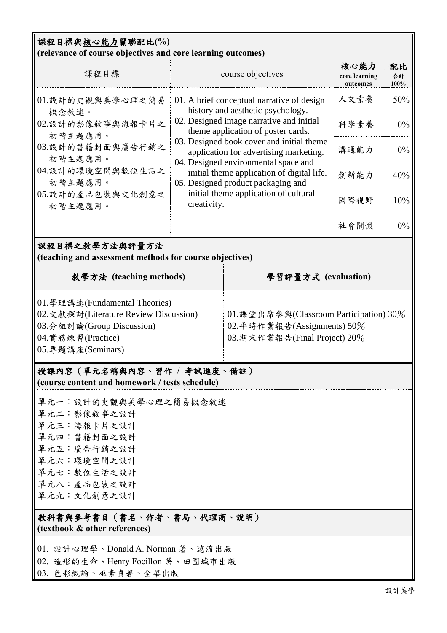## 課程目標與核心能力關聯配比**(%)**

| (relevance of course objectives and core learning outcomes)                                                                                                                                                                                                                                                                                                                                                                                                   |                                                                                                                                                                                                                                                                         |                                                                                |                                   |                  |  |  |  |  |  |
|---------------------------------------------------------------------------------------------------------------------------------------------------------------------------------------------------------------------------------------------------------------------------------------------------------------------------------------------------------------------------------------------------------------------------------------------------------------|-------------------------------------------------------------------------------------------------------------------------------------------------------------------------------------------------------------------------------------------------------------------------|--------------------------------------------------------------------------------|-----------------------------------|------------------|--|--|--|--|--|
| 課程目標                                                                                                                                                                                                                                                                                                                                                                                                                                                          | course objectives                                                                                                                                                                                                                                                       |                                                                                | 核心能力<br>core learning<br>outcomes | 配比<br>合計<br>100% |  |  |  |  |  |
| 01.設計的史觀與美學心理之簡易                                                                                                                                                                                                                                                                                                                                                                                                                                              | 01. A brief conceptual narrative of design<br>history and aesthetic psychology.                                                                                                                                                                                         |                                                                                | 人文素養                              | 50%              |  |  |  |  |  |
| 概念敘述。<br>02.設計的影像敘事與海報卡片之<br>初階主題應用。                                                                                                                                                                                                                                                                                                                                                                                                                          |                                                                                                                                                                                                                                                                         | 02. Designed image narrative and initial<br>theme application of poster cards. |                                   | $0\%$            |  |  |  |  |  |
| 03.設計的書籍封面與廣告行銷之<br>初階主題應用。                                                                                                                                                                                                                                                                                                                                                                                                                                   | 03. Designed book cover and initial theme<br>application for advertising marketing.<br>04. Designed environmental space and<br>initial theme application of digital life.<br>05. Designed product packaging and<br>initial theme application of cultural<br>creativity. |                                                                                | 溝通能力                              | $0\%$            |  |  |  |  |  |
| 04.設計的環境空間與數位生活之<br>初階主題應用。                                                                                                                                                                                                                                                                                                                                                                                                                                   |                                                                                                                                                                                                                                                                         |                                                                                | 創新能力                              | 40%              |  |  |  |  |  |
| 05.設計的產品包裝與文化創意之<br>初階主題應用。                                                                                                                                                                                                                                                                                                                                                                                                                                   |                                                                                                                                                                                                                                                                         |                                                                                | 國際視野                              | 10%              |  |  |  |  |  |
|                                                                                                                                                                                                                                                                                                                                                                                                                                                               |                                                                                                                                                                                                                                                                         |                                                                                | 社會關懷                              | $0\%$            |  |  |  |  |  |
| 課程目標之教學方法與評量方法<br>(teaching and assessment methods for course objectives)                                                                                                                                                                                                                                                                                                                                                                                     |                                                                                                                                                                                                                                                                         |                                                                                |                                   |                  |  |  |  |  |  |
| 教學方法 (teaching methods)                                                                                                                                                                                                                                                                                                                                                                                                                                       | 學習評量方式 (evaluation)                                                                                                                                                                                                                                                     |                                                                                |                                   |                  |  |  |  |  |  |
| 01. 學理講述(Fundamental Theories)<br>02. 文獻探討(Literature Review Discussion)<br>01. 課堂出席參與(Classroom Participation) 30%<br>02. 平時作業報告(Assignments) 50%<br>03.分組討論(Group Discussion)<br>03.期末作業報告(Final Project) 20%<br>04. 實務練習(Practice)<br>05.專題講座(Seminars)<br>授課內容(單元名稱與內容、習作 / 考試進度、備註)<br>(course content and homework / tests schedule)<br>單元一:設計的史觀與美學心理之簡易概念敘述<br>單元二:影像敘事之設計<br>單元三:海報卡片之設計<br>單元四:書籍封面之設計<br>單元五:廣告行銷之設計<br>單元六:環境空間之設計<br>單元七:數位生活之設計 |                                                                                                                                                                                                                                                                         |                                                                                |                                   |                  |  |  |  |  |  |
| 單元八:產品包裝之設計<br>單元九:文化創意之設計                                                                                                                                                                                                                                                                                                                                                                                                                                    |                                                                                                                                                                                                                                                                         |                                                                                |                                   |                  |  |  |  |  |  |
| 教科書與參考書目(書名、作者、書局、代理商、說明)<br>(textbook & other references)                                                                                                                                                                                                                                                                                                                                                                                                    |                                                                                                                                                                                                                                                                         |                                                                                |                                   |                  |  |  |  |  |  |
| 01. 設計心理學、Donald A. Norman 著、遠流出版<br>02. 造形的生命、Henry Focillon 著、田園城市出版<br>03. 色彩概論、巫素貞著、全華出版                                                                                                                                                                                                                                                                                                                                                                  |                                                                                                                                                                                                                                                                         |                                                                                |                                   |                  |  |  |  |  |  |